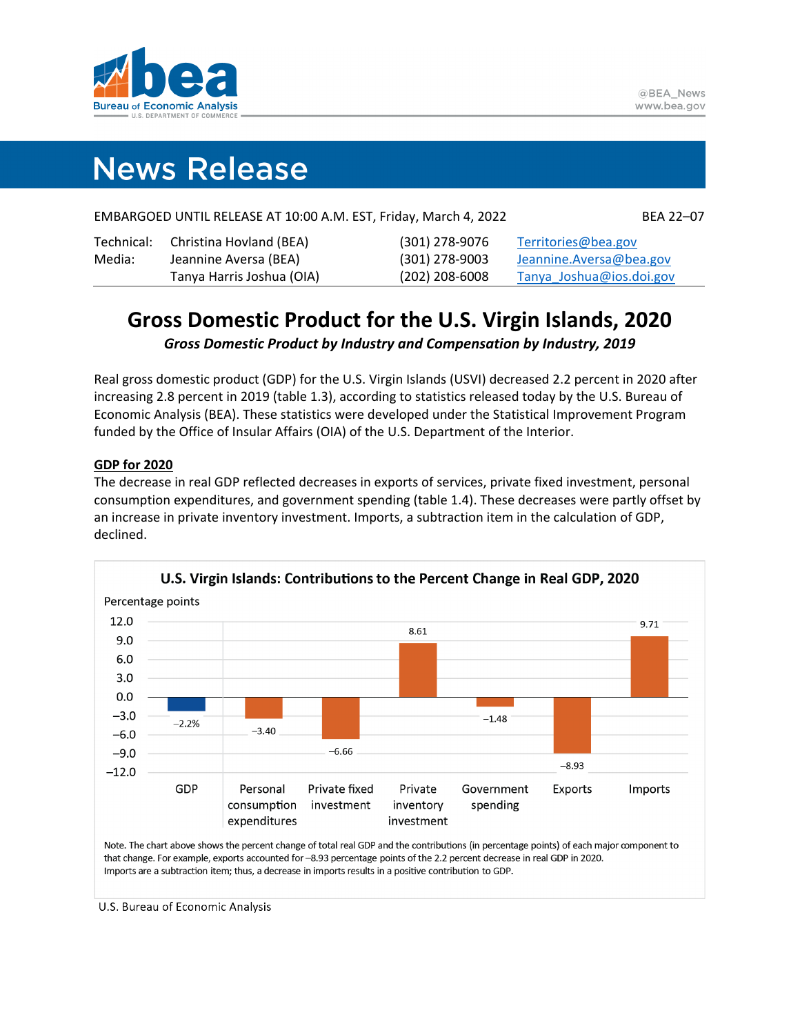

# **News Release**

|        | EMBARGOED UNTIL RELEASE AT 10:00 A.M. EST, Friday, March 4, 2022 |                  | BEA 22-07                |
|--------|------------------------------------------------------------------|------------------|--------------------------|
|        | Technical: Christina Hovland (BEA)                               | (301) 278-9076   | Territories@bea.gov      |
| Media: | Jeannine Aversa (BEA)                                            | $(301)$ 278-9003 | Jeannine. Aversa@bea.gov |

## **Gross Domestic Product for the U.S. Virgin Islands, 2020**

Tanya Harris Joshua (OIA) (202) 208-6008 [Tanya\\_Joshua@ios.doi.gov](mailto:Tanya_Joshua@ios.doi.gov)

*Gross Domestic Product by Industry and Compensation by Industry, 2019* 

Real gross domestic product (GDP) for the U.S. Virgin Islands (USVI) decreased 2.2 percent in 2020 after increasing 2.8 percent in 2019 (table 1.3), according to statistics released today by the U.S. Bureau of Economic Analysis (BEA). These statistics were developed under the Statistical Improvement Program funded by the Office of Insular Affairs (OIA) of the U.S. Department of the Interior.

#### **GDP for 2020**

The decrease in real GDP reflected decreases in exports of services, private fixed investment, personal consumption expenditures, and government spending (table 1.4). These decreases were partly offset by an increase in private inventory investment. Imports, a subtraction item in the calculation of GDP, declined.



Note. The chart above shows the percent change of total real GDP and the contributions (in percentage points) of each major component to that change. For example, exports accounted for -8.93 percentage points of the 2.2 percent decrease in real GDP in 2020. Imports are a subtraction item; thus, a decrease in imports results in a positive contribution to GDP.

U.S. Bureau of Economic Analysis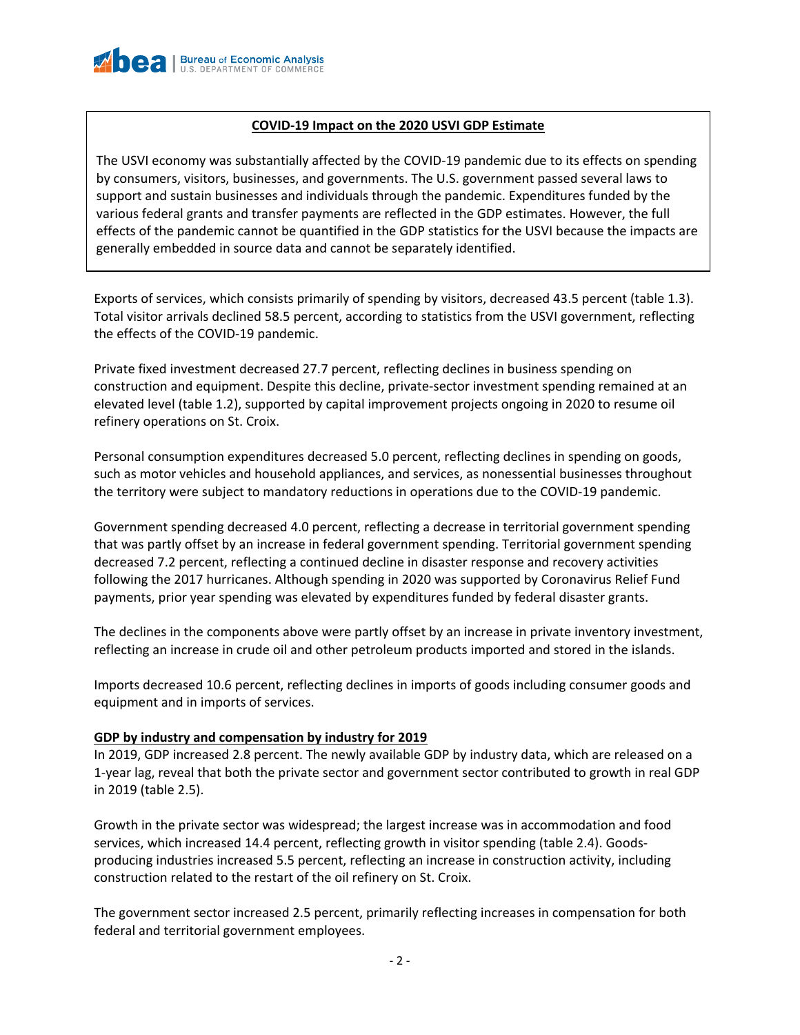#### **COVID-19 Impact on the 2020 USVI GDP Estimate**

The USVI economy was substantially affected by the COVID-19 pandemic due to its effects on spending by consumers, visitors, businesses, and governments. The U.S. government passed several laws to support and sustain businesses and individuals through the pandemic. Expenditures funded by the various federal grants and transfer payments are reflected in the GDP estimates. However, the full effects of the pandemic cannot be quantified in the GDP statistics for the USVI because the impacts are generally embedded in source data and cannot be separately identified.

Exports of services, which consists primarily of spending by visitors, decreased 43.5 percent (table 1.3). Total visitor arrivals declined 58.5 percent, according to statistics from the USVI government, reflecting the effects of the COVID-19 pandemic.

Private fixed investment decreased 27.7 percent, reflecting declines in business spending on construction and equipment. Despite this decline, private-sector investment spending remained at an elevated level (table 1.2), supported by capital improvement projects ongoing in 2020 to resume oil refinery operations on St. Croix.

Personal consumption expenditures decreased 5.0 percent, reflecting declines in spending on goods, such as motor vehicles and household appliances, and services, as nonessential businesses throughout the territory were subject to mandatory reductions in operations due to the COVID-19 pandemic.

Government spending decreased 4.0 percent, reflecting a decrease in territorial government spending that was partly offset by an increase in federal government spending. Territorial government spending decreased 7.2 percent, reflecting a continued decline in disaster response and recovery activities following the 2017 hurricanes. Although spending in 2020 was supported by Coronavirus Relief Fund payments, prior year spending was elevated by expenditures funded by federal disaster grants.

The declines in the components above were partly offset by an increase in private inventory investment, reflecting an increase in crude oil and other petroleum products imported and stored in the islands.

Imports decreased 10.6 percent, reflecting declines in imports of goods including consumer goods and equipment and in imports of services.

#### **GDP by industry and compensation by industry for 2019**

In 2019, GDP increased 2.8 percent. The newly available GDP by industry data, which are released on a 1-year lag, reveal that both the private sector and government sector contributed to growth in real GDP in 2019 (table 2.5).

Growth in the private sector was widespread; the largest increase was in accommodation and food services, which increased 14.4 percent, reflecting growth in visitor spending (table 2.4). Goodsproducing industries increased 5.5 percent, reflecting an increase in construction activity, including construction related to the restart of the oil refinery on St. Croix.

The government sector increased 2.5 percent, primarily reflecting increases in compensation for both federal and territorial government employees.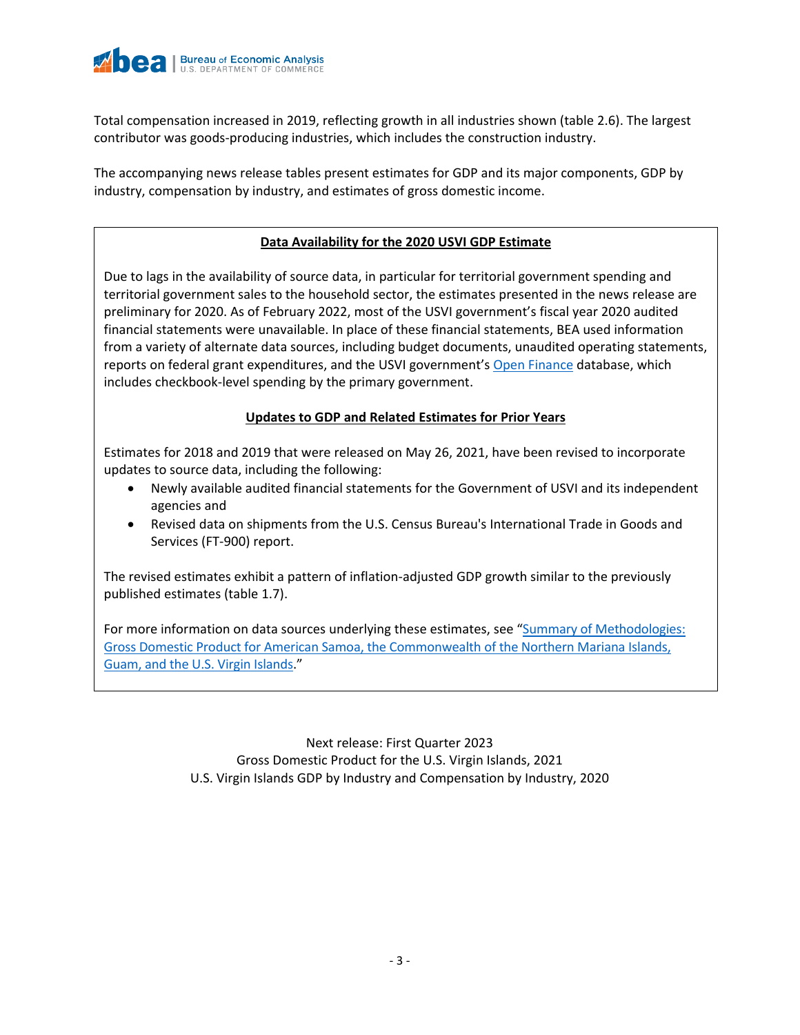

Total compensation increased in 2019, reflecting growth in all industries shown (table 2.6). The largest contributor was goods-producing industries, which includes the construction industry.

The accompanying news release tables present estimates for GDP and its major components, GDP by industry, compensation by industry, and estimates of gross domestic income.

#### **Data Availability for the 2020 USVI GDP Estimate**

Due to lags in the availability of source data, in particular for territorial government spending and territorial government sales to the household sector, the estimates presented in the news release are preliminary for 2020. As of February 2022, most of the USVI government's fiscal year 2020 audited financial statements were unavailable. In place of these financial statements, BEA used information from a variety of alternate data sources, including budget documents, unaudited operating statements, reports on federal grant expenditures, and the USVI government's [Open Finance](https://usvi.spending.socrata.com/) database, which includes checkbook-level spending by the primary government.

#### **Updates to GDP and Related Estimates for Prior Years**

Estimates for 2018 and 2019 that were released on May 26, 2021, have been revised to incorporate updates to source data, including the following:

- Newly available audited financial statements for the Government of USVI and its independent agencies and
- Revised data on shipments from the U.S. Census Bureau's International Trade in Goods and Services (FT-900) report.

The revised estimates exhibit a pattern of inflation-adjusted GDP growth similar to the previously published estimates (table 1.7).

For more information on data sources underlying these estimates, see "Summary of Methodologies: [Gross Domestic Product for American Samoa, the Commonwealth of the Northern Mariana Islands,](https://www.bea.gov/resources/methodologies/gdp-methodology-for-american-samoa-cnmi-guam-usvi)  [Guam, and the U.S. Virgin Islands.](https://www.bea.gov/resources/methodologies/gdp-methodology-for-american-samoa-cnmi-guam-usvi)"

> Next release: First Quarter 2023 Gross Domestic Product for the U.S. Virgin Islands, 2021 U.S. Virgin Islands GDP by Industry and Compensation by Industry, 2020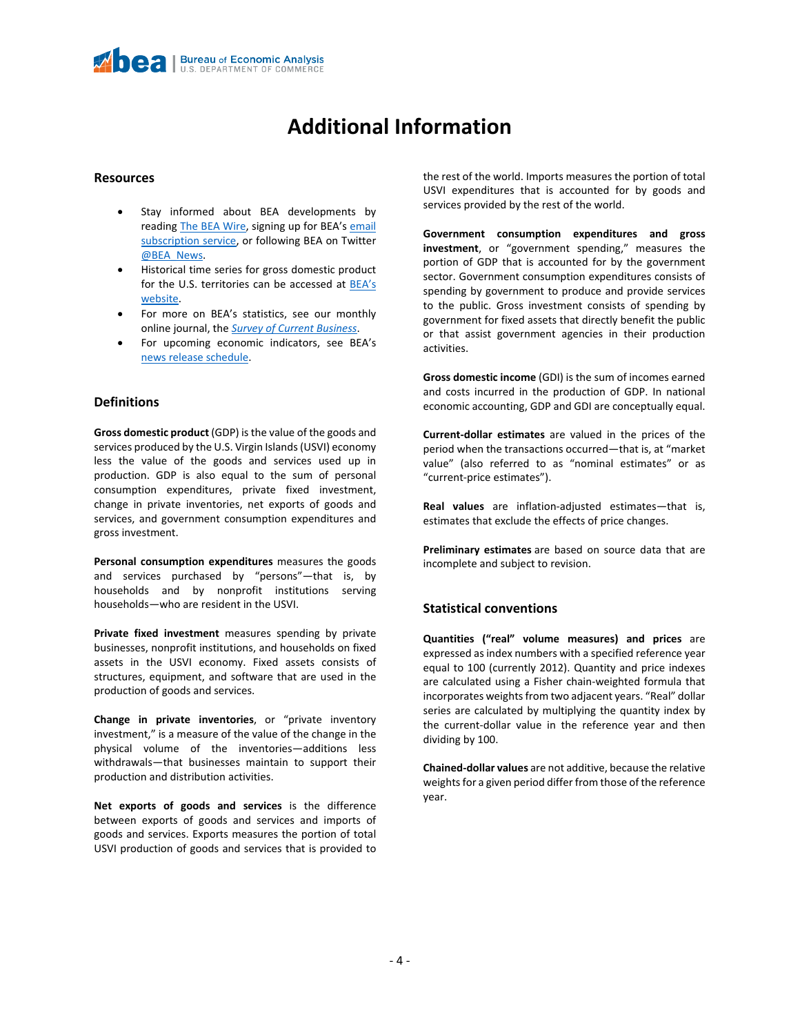## **Additional Information**

#### **Resources**

- Stay informed about BEA developments by reading [The BEA Wire,](https://www.bea.gov/news/blog) signing up for BEA's email [subscription service,](https://www.bea.gov/_subscribe/) or following BEA on Twitter [@BEA\\_News.](https://twitter.com/BEA_News)
- Historical time series for gross domestic product for the U.S. territories can be accessed at [BEA's](https://www.bea.gov/data/by-place-states-territories#territories)  [website.](https://www.bea.gov/data/by-place-states-territories#territories)
- For more on BEA's statistics, see our monthly online journal, the *[Survey of Current Business](https://apps.bea.gov/scb/)*.
- For upcoming economic indicators, see BEA's [news release schedule.](https://www.bea.gov/news/schedule)

#### **Definitions**

**Gross domestic product** (GDP) is the value of the goods and services produced by the U.S. Virgin Islands (USVI) economy less the value of the goods and services used up in production. GDP is also equal to the sum of personal consumption expenditures, private fixed investment, change in private inventories, net exports of goods and services, and government consumption expenditures and gross investment.

**Personal consumption expenditures** measures the goods and services purchased by "persons"—that is, by households and by nonprofit institutions serving households—who are resident in the USVI.

**Private fixed investment** measures spending by private businesses, nonprofit institutions, and households on fixed assets in the USVI economy. Fixed assets consists of structures, equipment, and software that are used in the production of goods and services.

**Change in private inventories**, or "private inventory investment," is a measure of the value of the change in the physical volume of the inventories—additions less withdrawals—that businesses maintain to support their production and distribution activities.

**Net exports of goods and services** is the difference between exports of goods and services and imports of goods and services. Exports measures the portion of total USVI production of goods and services that is provided to the rest of the world. Imports measures the portion of total USVI expenditures that is accounted for by goods and services provided by the rest of the world.

**Government consumption expenditures and gross investment**, or "government spending," measures the portion of GDP that is accounted for by the government sector. Government consumption expenditures consists of spending by government to produce and provide services to the public. Gross investment consists of spending by government for fixed assets that directly benefit the public or that assist government agencies in their production activities.

**Gross domestic income** (GDI) is the sum of incomes earned and costs incurred in the production of GDP. In national economic accounting, GDP and GDI are conceptually equal.

**Current-dollar estimates** are valued in the prices of the period when the transactions occurred—that is, at "market value" (also referred to as "nominal estimates" or as "current-price estimates").

**Real values** are inflation-adjusted estimates—that is, estimates that exclude the effects of price changes.

**Preliminary estimates** are based on source data that are incomplete and subject to revision.

#### **Statistical conventions**

**Quantities ("real" volume measures) and prices** are expressed as index numbers with a specified reference year equal to 100 (currently 2012). Quantity and price indexes are calculated using a Fisher chain-weighted formula that incorporates weights from two adjacent years. "Real" dollar series are calculated by multiplying the quantity index by the current-dollar value in the reference year and then dividing by 100.

**Chained-dollar values** are not additive, because the relative weights for a given period differ from those of the reference year.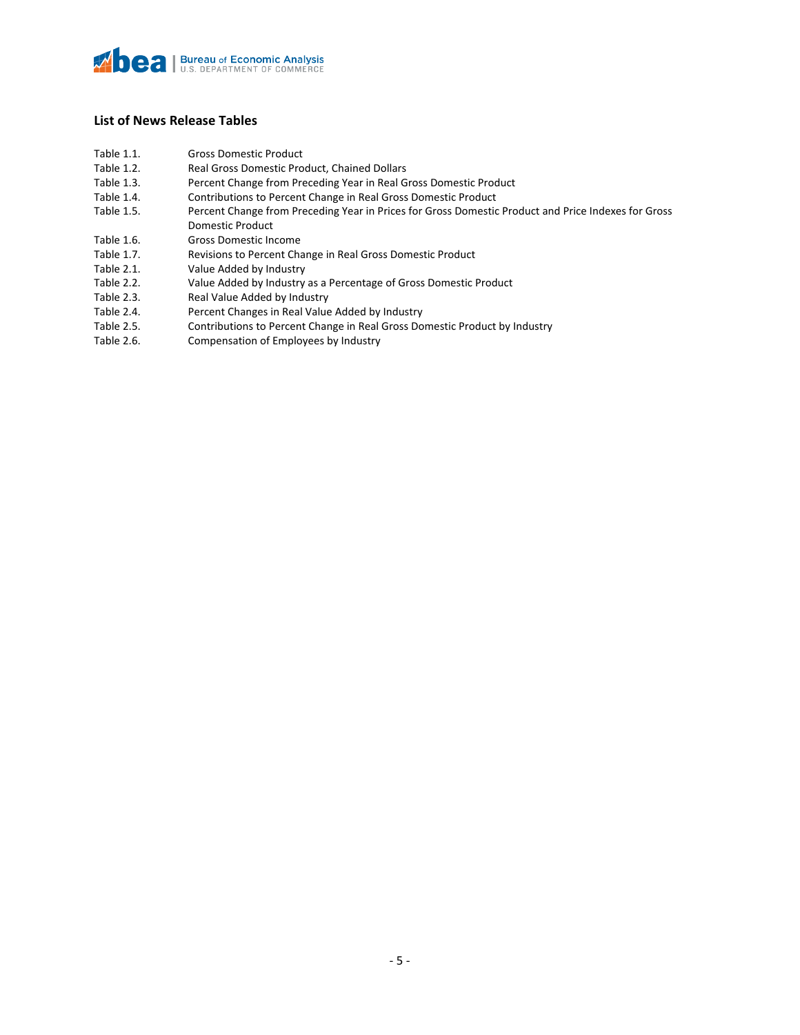#### **List of News Release Tables**

Table 1.1. Gross Domestic Product

| Table 1.2. | Real Gross Domestic Product, Chained Dollars                                                        |
|------------|-----------------------------------------------------------------------------------------------------|
| Table 1.3. | Percent Change from Preceding Year in Real Gross Domestic Product                                   |
| Table 1.4. | Contributions to Percent Change in Real Gross Domestic Product                                      |
| Table 1.5. | Percent Change from Preceding Year in Prices for Gross Domestic Product and Price Indexes for Gross |
|            | <b>Domestic Product</b>                                                                             |
| Table 1.6. | <b>Gross Domestic Income</b>                                                                        |
| Table 1.7. | Revisions to Percent Change in Real Gross Domestic Product                                          |
| Table 2.1. | Value Added by Industry                                                                             |
| Table 2.2. | Value Added by Industry as a Percentage of Gross Domestic Product                                   |
| Table 2.3. | Real Value Added by Industry                                                                        |
|            |                                                                                                     |

- 
- Table 2.4. Percent Changes in Real Value Added by Industry<br>Table 2.5. Contributions to Percent Change in Real Gross Do Table 2.5. Contributions to Percent Change in Real Gross Domestic Product by Industry<br>Table 2.6. Compensation of Employees by Industry
- Compensation of Employees by Industry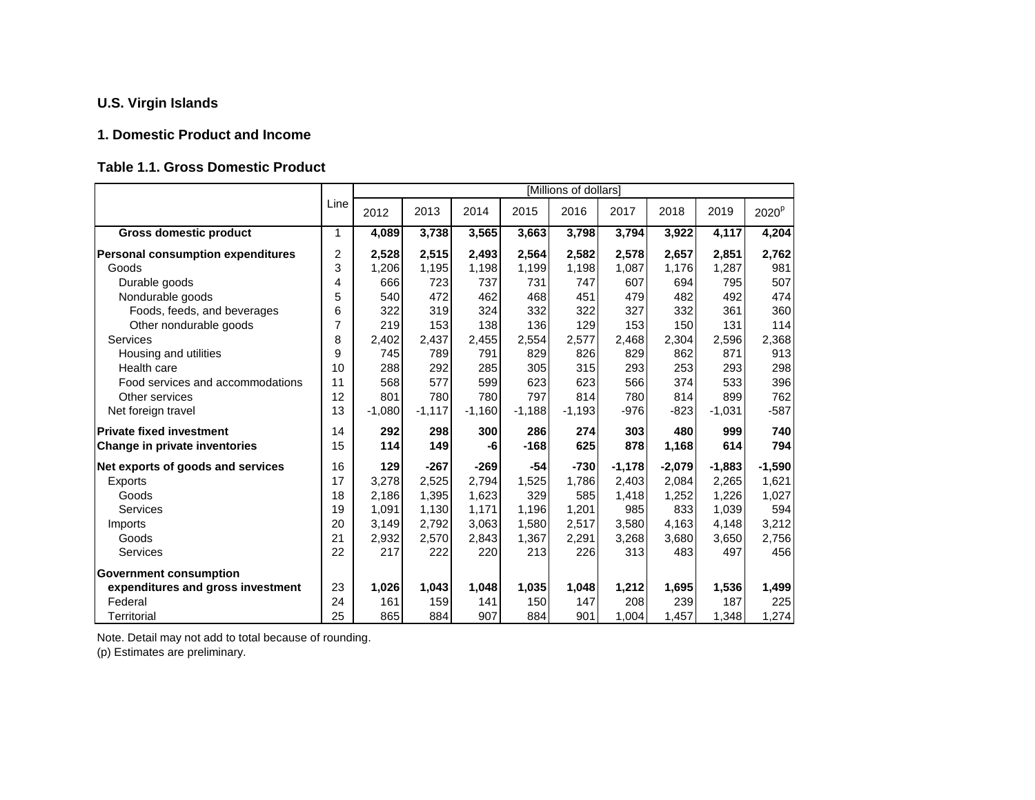#### **1. Domestic Product and Income**

#### **Table 1.1. Gross Domestic Product**

|                                          |      |          |          |          |          | [Millions of dollars] |          |          |          |                   |
|------------------------------------------|------|----------|----------|----------|----------|-----------------------|----------|----------|----------|-------------------|
|                                          | Line | 2012     | 2013     | 2014     | 2015     | 2016                  | 2017     | 2018     | 2019     | 2020 <sup>p</sup> |
| <b>Gross domestic product</b>            | 1    | 4,089    | 3,738    | 3,565    | 3,663    | 3,798                 | 3,794    | 3,922    | 4,117    | 4,204             |
| <b>Personal consumption expenditures</b> | 2    | 2,528    | 2,515    | 2,493    | 2,564    | 2,582                 | 2,578    | 2,657    | 2.851    | 2,762             |
| Goods                                    | 3    | 1,206    | 1,195    | 1,198    | 1,199    | 1,198                 | 1,087    | 1,176    | 1,287    | 981               |
| Durable goods                            | 4    | 666      | 723      | 737      | 731      | 747                   | 607      | 694      | 795      | 507               |
| Nondurable goods                         | 5    | 540      | 472      | 462      | 468      | 451                   | 479      | 482      | 492      | 474               |
| Foods, feeds, and beverages              | 6    | 322      | 319      | 324      | 332      | 322                   | 327      | 332      | 361      | 360               |
| Other nondurable goods                   | 7    | 219      | 153      | 138      | 136      | 129                   | 153      | 150      | 131      | 114               |
| Services                                 | 8    | 2,402    | 2,437    | 2,455    | 2,554    | 2,577                 | 2,468    | 2,304    | 2,596    | 2,368             |
| Housing and utilities                    | 9    | 745      | 789      | 791      | 829      | 826                   | 829      | 862      | 871      | 913               |
| Health care                              | 10   | 288      | 292      | 285      | 305      | 315                   | 293      | 253      | 293      | 298               |
| Food services and accommodations         | 11   | 568      | 577      | 599      | 623      | 623                   | 566      | 374      | 533      | 396               |
| Other services                           | 12   | 801      | 780      | 780      | 797      | 814                   | 780      | 814      | 899      | 762               |
| Net foreign travel                       | 13   | $-1,080$ | $-1,117$ | $-1,160$ | $-1,188$ | $-1,193$              | $-976$   | $-823$   | $-1,031$ | $-587$            |
| <b>Private fixed investment</b>          | 14   | 292      | 298      | 300      | 286      | 274                   | 303      | 480      | 999      | 740               |
| Change in private inventories            | 15   | 114      | 149      | -6       | $-168$   | 625                   | 878      | 1,168    | 614      | 794               |
| Net exports of goods and services        | 16   | 129      | $-267$   | $-269$   | -54      | $-730$                | $-1,178$ | $-2,079$ | $-1,883$ | $-1,590$          |
| Exports                                  | 17   | 3,278    | 2,525    | 2.794    | 1,525    | 1,786                 | 2,403    | 2.084    | 2,265    | 1,621             |
| Goods                                    | 18   | 2,186    | 1,395    | 1,623    | 329      | 585                   | 1,418    | 1,252    | 1,226    | 1,027             |
| Services                                 | 19   | 1,091    | 1,130    | 1,171    | 1,196    | 1,201                 | 985      | 833      | 1,039    | 594               |
| Imports                                  | 20   | 3,149    | 2,792    | 3,063    | 1,580    | 2,517                 | 3,580    | 4,163    | 4,148    | 3,212             |
| Goods                                    | 21   | 2,932    | 2,570    | 2,843    | 1,367    | 2,291                 | 3,268    | 3,680    | 3,650    | 2,756             |
| Services                                 | 22   | 217      | 222      | 220      | 213      | 226                   | 313      | 483      | 497      | 456               |
| <b>Government consumption</b>            |      |          |          |          |          |                       |          |          |          |                   |
| expenditures and gross investment        | 23   | 1,026    | 1,043    | 1,048    | 1,035    | 1,048                 | 1,212    | 1,695    | 1,536    | 1,499             |
| Federal                                  | 24   | 161      | 159      | 141      | 150      | 147                   | 208      | 239      | 187      | 225               |
| Territorial                              | 25   | 865      | 884      | 907      | 884      | 901                   | 1,004    | 1,457    | 1,348    | 1,274             |

Note. Detail may not add to total because of rounding.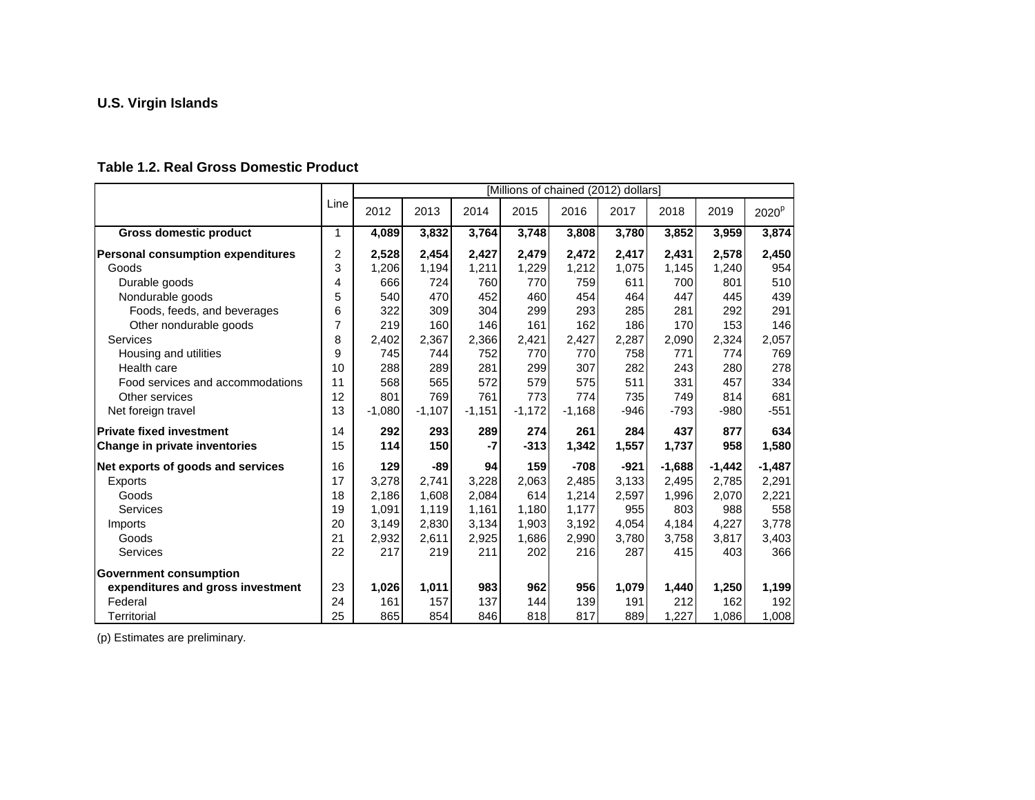#### **Table 1.2. Real Gross Domestic Product**

|                                          |              |          |          |          |          | [Millions of chained (2012) dollars] |        |          |          |                   |
|------------------------------------------|--------------|----------|----------|----------|----------|--------------------------------------|--------|----------|----------|-------------------|
|                                          | Line         | 2012     | 2013     | 2014     | 2015     | 2016                                 | 2017   | 2018     | 2019     | 2020 <sup>p</sup> |
| <b>Gross domestic product</b>            | $\mathbf{1}$ | 4,089    | 3,832    | 3,764    | 3,748    | 3,808                                | 3,780  | 3,852    | 3,959    | 3,874             |
| <b>Personal consumption expenditures</b> | 2            | 2,528    | 2,454    | 2,427    | 2,479    | 2,472                                | 2,417  | 2,431    | 2,578    | 2,450             |
| Goods                                    | 3            | 1,206    | 1,194    | 1,211    | 1,229    | 1,212                                | 1,075  | 1,145    | 1,240    | 954               |
| Durable goods                            | 4            | 666      | 724      | 760      | 770      | 759                                  | 611    | 700      | 801      | 510               |
| Nondurable goods                         | 5            | 540      | 470      | 452      | 460      | 454                                  | 464    | 447      | 445      | 439               |
| Foods, feeds, and beverages              | 6            | 322      | 309      | 304      | 299      | 293                                  | 285    | 281      | 292      | 291               |
| Other nondurable goods                   | 7            | 219      | 160      | 146      | 161      | 162                                  | 186    | 170      | 153      | 146               |
| <b>Services</b>                          | 8            | 2,402    | 2,367    | 2,366    | 2,421    | 2,427                                | 2,287  | 2,090    | 2,324    | 2,057             |
| Housing and utilities                    | 9            | 745      | 744      | 752      | 770      | 770                                  | 758    | 771      | 774      | 769               |
| Health care                              | 10           | 288      | 289      | 281      | 299      | 307                                  | 282    | 243      | 280      | 278               |
| Food services and accommodations         | 11           | 568      | 565      | 572      | 579      | 575                                  | 511    | 331      | 457      | 334               |
| Other services                           | 12           | 801      | 769      | 761      | 773      | 774                                  | 735    | 749      | 814      | 681               |
| Net foreign travel                       | 13           | $-1,080$ | $-1,107$ | $-1,151$ | $-1,172$ | $-1,168$                             | $-946$ | $-793$   | $-980$   | $-551$            |
| <b>Private fixed investment</b>          | 14           | 292      | 293      | 289      | 274      | 261                                  | 284    | 437      | 877      | 634               |
| Change in private inventories            | 15           | 114      | 150      | $-7$     | $-313$   | 1,342                                | 1,557  | 1,737    | 958      | 1,580             |
| Net exports of goods and services        | 16           | 129      | $-89$    | 94       | 159      | $-708$                               | $-921$ | $-1,688$ | $-1,442$ | $-1,487$          |
| Exports                                  | 17           | 3,278    | 2.741    | 3,228    | 2,063    | 2.485                                | 3.133  | 2,495    | 2,785    | 2,291             |
| Goods                                    | 18           | 2,186    | 1,608    | 2,084    | 614      | 1,214                                | 2,597  | 1,996    | 2,070    | 2,221             |
| Services                                 | 19           | 1,091    | 1,119    | 1,161    | 1,180    | 1,177                                | 955    | 803      | 988      | 558               |
| Imports                                  | 20           | 3,149    | 2,830    | 3,134    | 1,903    | 3,192                                | 4,054  | 4,184    | 4,227    | 3,778             |
| Goods                                    | 21           | 2,932    | 2,611    | 2,925    | 1,686    | 2,990                                | 3,780  | 3,758    | 3,817    | 3,403             |
| Services                                 | 22           | 217      | 219      | 211      | 202      | 216                                  | 287    | 415      | 403      | 366               |
| <b>Government consumption</b>            |              |          |          |          |          |                                      |        |          |          |                   |
| expenditures and gross investment        | 23           | 1,026    | 1,011    | 983      | 962      | 956                                  | 1,079  | 1,440    | 1,250    | 1,199             |
| Federal                                  | 24           | 161      | 157      | 137      | 144      | 139                                  | 191    | 212      | 162      | 192               |
| Territorial                              | 25           | 865      | 854      | 846      | 818      | 817                                  | 889    | 1,227    | 1,086    | 1,008             |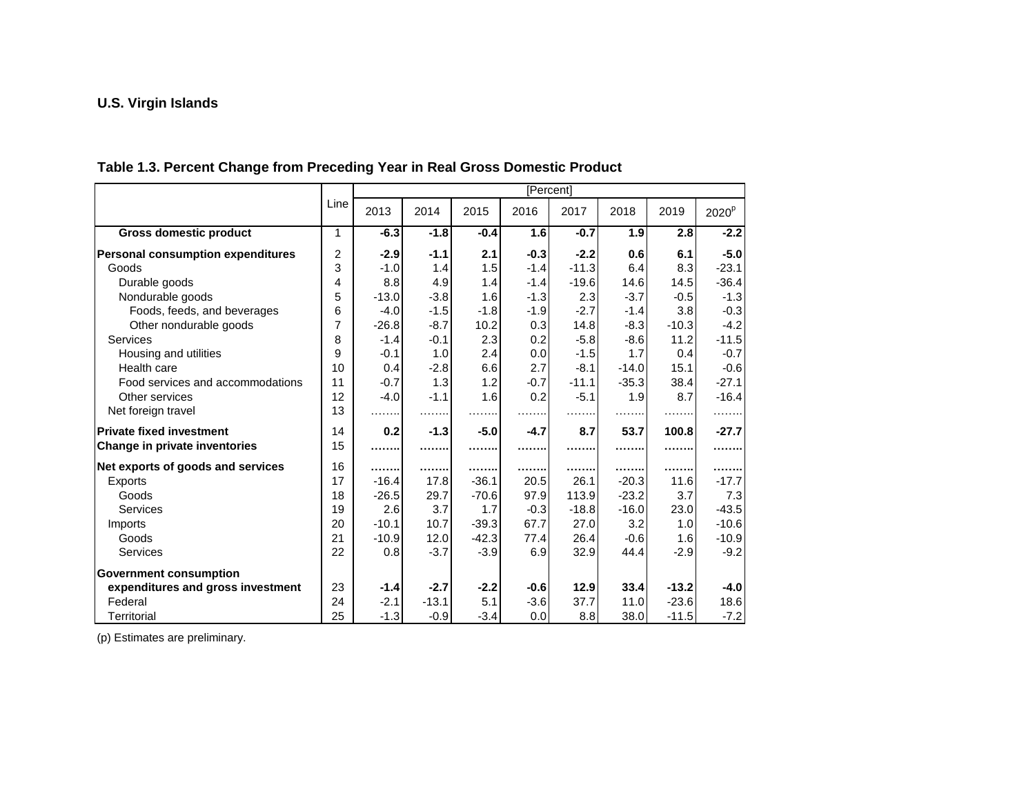#### **Table 1.3. Percent Change from Preceding Year in Real Gross Domestic Product**

|                                          |      |         |         |         |        | [Percent] |         |         |                   |
|------------------------------------------|------|---------|---------|---------|--------|-----------|---------|---------|-------------------|
|                                          | Line | 2013    | 2014    | 2015    | 2016   | 2017      | 2018    | 2019    | 2020 <sup>p</sup> |
| <b>Gross domestic product</b>            | 1    | $-6.3$  | $-1.8$  | $-0.4$  | 1.6    | $-0.7$    | 1.9     | 2.8     | $-2.2$            |
| <b>Personal consumption expenditures</b> | 2    | $-2.9$  | $-1.1$  | 2.1     | $-0.3$ | $-2.2$    | 0.6     | 6.1     | $-5.0$            |
| Goods                                    | 3    | $-1.0$  | 1.4     | 1.5     | $-1.4$ | $-11.3$   | 6.4     | 8.3     | $-23.1$           |
| Durable goods                            | 4    | 8.8     | 4.9     | 1.4     | $-1.4$ | $-19.6$   | 14.6    | 14.5    | $-36.4$           |
| Nondurable goods                         | 5    | $-13.0$ | $-3.8$  | 1.6     | $-1.3$ | 2.3       | $-3.7$  | $-0.5$  | $-1.3$            |
| Foods, feeds, and beverages              | 6    | $-4.0$  | $-1.5$  | $-1.8$  | $-1.9$ | $-2.7$    | $-1.4$  | 3.8     | $-0.3$            |
| Other nondurable goods                   | 7    | $-26.8$ | $-8.7$  | 10.2    | 0.3    | 14.8      | $-8.3$  | $-10.3$ | $-4.2$            |
| Services                                 | 8    | $-1.4$  | $-0.1$  | 2.3     | 0.2    | $-5.8$    | $-8.6$  | 11.2    | $-11.5$           |
| Housing and utilities                    | 9    | $-0.1$  | 1.0     | 2.4     | 0.0    | $-1.5$    | 1.7     | 0.4     | $-0.7$            |
| Health care                              | 10   | 0.4     | $-2.8$  | 6.6     | 2.7    | $-8.1$    | $-14.0$ | 15.1    | $-0.6$            |
| Food services and accommodations         | 11   | $-0.7$  | 1.3     | 1.2     | $-0.7$ | $-11.1$   | $-35.3$ | 38.4    | $-27.1$           |
| Other services                           | 12   | $-4.0$  | $-1.1$  | 1.6     | 0.2    | $-5.1$    | 1.9     | 8.7     | $-16.4$           |
| Net foreign travel                       | 13   |         | .       |         |        | .         | .       |         |                   |
| <b>Private fixed investment</b>          | 14   | 0.2     | $-1.3$  | $-5.0$  | $-4.7$ | 8.7       | 53.7    | 100.8   | $-27.7$           |
| Change in private inventories            | 15   |         |         |         |        |           | .       | .       |                   |
| Net exports of goods and services        | 16   |         |         |         |        | .         | .       | .       |                   |
| <b>Exports</b>                           | 17   | $-16.4$ | 17.8    | $-36.1$ | 20.5   | 26.1      | $-20.3$ | 11.6    | $-17.7$           |
| Goods                                    | 18   | $-26.5$ | 29.7    | $-70.6$ | 97.9   | 113.9     | $-23.2$ | 3.7     | 7.3               |
| Services                                 | 19   | 2.6     | 3.7     | 1.7     | $-0.3$ | $-18.8$   | $-16.0$ | 23.0    | $-43.5$           |
| Imports                                  | 20   | $-10.1$ | 10.7    | $-39.3$ | 67.7   | 27.0      | 3.2     | 1.0     | $-10.6$           |
| Goods                                    | 21   | $-10.9$ | 12.0    | $-42.3$ | 77.4   | 26.4      | $-0.6$  | 1.6     | $-10.9$           |
| Services                                 | 22   | 0.8     | $-3.7$  | $-3.9$  | 6.9    | 32.9      | 44.4    | $-2.9$  | $-9.2$            |
| <b>Government consumption</b>            |      |         |         |         |        |           |         |         |                   |
| expenditures and gross investment        | 23   | $-1.4$  | $-2.7$  | $-2.2$  | $-0.6$ | 12.9      | 33.4    | $-13.2$ | $-4.0$            |
| Federal                                  | 24   | $-2.1$  | $-13.1$ | 5.1     | $-3.6$ | 37.7      | 11.0    | $-23.6$ | 18.6              |
| Territorial                              | 25   | $-1.3$  | $-0.9$  | $-3.4$  | 0.0    | 8.8       | 38.0    | $-11.5$ | $-7.2$            |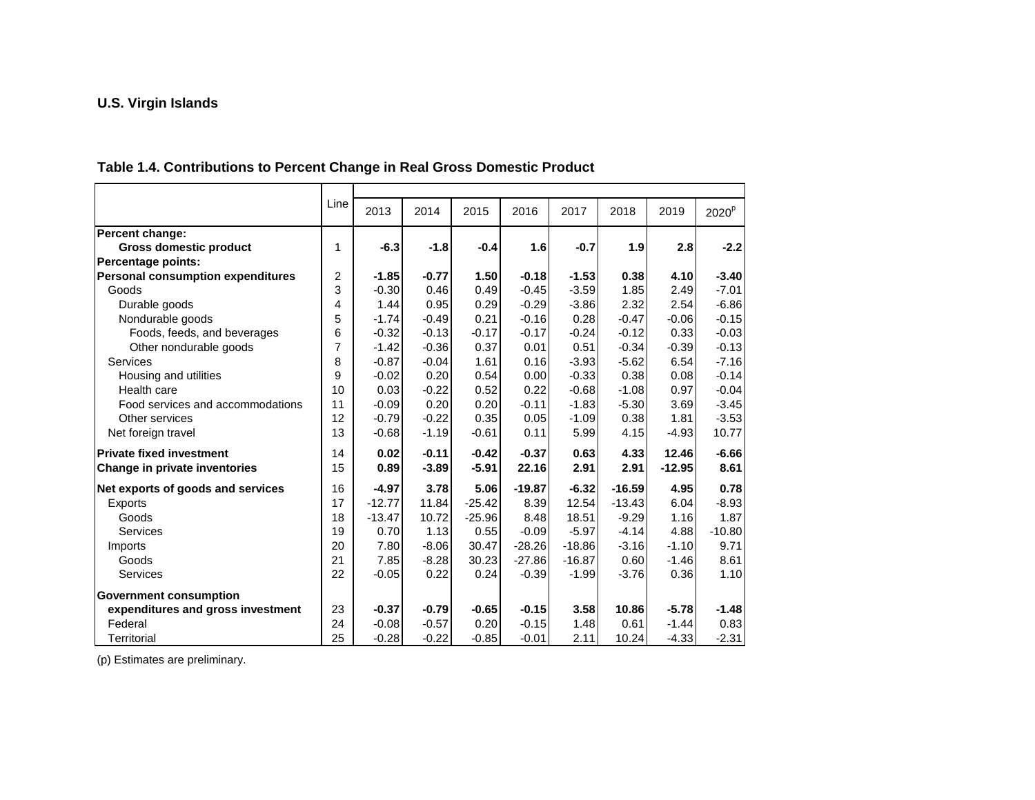#### **Table 1.4. Contributions to Percent Change in Real Gross Domestic Product**

|                                          | Line | 2013     | 2014    | 2015     | 2016     | 2017     | 2018     | 2019     | 2020 <sup>p</sup> |
|------------------------------------------|------|----------|---------|----------|----------|----------|----------|----------|-------------------|
| Percent change:                          |      |          |         |          |          |          |          |          |                   |
| <b>Gross domestic product</b>            | 1    | $-6.3$   | $-1.8$  | $-0.4$   | 1.6      | $-0.7$   | 1.9      | 2.8      | $-2.2$            |
| <b>Percentage points:</b>                |      |          |         |          |          |          |          |          |                   |
| <b>Personal consumption expenditures</b> | 2    | $-1.85$  | $-0.77$ | 1.50     | $-0.18$  | $-1.53$  | 0.38     | 4.10     | $-3.40$           |
| Goods                                    | 3    | $-0.30$  | 0.46    | 0.49     | $-0.45$  | $-3.59$  | 1.85     | 2.49     | $-7.01$           |
| Durable goods                            | 4    | 1.44     | 0.95    | 0.29     | $-0.29$  | $-3.86$  | 2.32     | 2.54     | $-6.86$           |
| Nondurable goods                         | 5    | $-1.74$  | $-0.49$ | 0.21     | $-0.16$  | 0.28     | $-0.47$  | $-0.06$  | $-0.15$           |
| Foods, feeds, and beverages              | 6    | $-0.32$  | $-0.13$ | $-0.17$  | $-0.17$  | $-0.24$  | $-0.12$  | 0.33     | $-0.03$           |
| Other nondurable goods                   | 7    | $-1.42$  | $-0.36$ | 0.37     | 0.01     | 0.51     | $-0.34$  | $-0.39$  | $-0.13$           |
| Services                                 | 8    | $-0.87$  | $-0.04$ | 1.61     | 0.16     | $-3.93$  | $-5.62$  | 6.54     | $-7.16$           |
| Housing and utilities                    | 9    | $-0.02$  | 0.20    | 0.54     | 0.00     | $-0.33$  | 0.38     | 0.08     | $-0.14$           |
| Health care                              | 10   | 0.03     | $-0.22$ | 0.52     | 0.22     | $-0.68$  | $-1.08$  | 0.97     | $-0.04$           |
| Food services and accommodations         | 11   | $-0.09$  | 0.20    | 0.20     | $-0.11$  | $-1.83$  | $-5.30$  | 3.69     | $-3.45$           |
| Other services                           | 12   | $-0.79$  | $-0.22$ | 0.35     | 0.05     | $-1.09$  | 0.38     | 1.81     | $-3.53$           |
| Net foreign travel                       | 13   | $-0.68$  | $-1.19$ | $-0.61$  | 0.11     | 5.99     | 4.15     | $-4.93$  | 10.77             |
| <b>Private fixed investment</b>          | 14   | 0.02     | $-0.11$ | $-0.42$  | $-0.37$  | 0.63     | 4.33     | 12.46    | $-6.66$           |
| Change in private inventories            | 15   | 0.89     | $-3.89$ | $-5.91$  | 22.16    | 2.91     | 2.91     | $-12.95$ | 8.61              |
| Net exports of goods and services        | 16   | $-4.97$  | 3.78    | 5.06     | $-19.87$ | $-6.32$  | $-16.59$ | 4.95     | 0.78              |
| <b>Exports</b>                           | 17   | $-12.77$ | 11.84   | $-25.42$ | 8.39     | 12.54    | $-13.43$ | 6.04     | $-8.93$           |
| Goods                                    | 18   | $-13.47$ | 10.72   | $-25.96$ | 8.48     | 18.51    | $-9.29$  | 1.16     | 1.87              |
| Services                                 | 19   | 0.70     | 1.13    | 0.55     | $-0.09$  | $-5.97$  | $-4.14$  | 4.88     | $-10.80$          |
| Imports                                  | 20   | 7.80     | $-8.06$ | 30.47    | $-28.26$ | $-18.86$ | $-3.16$  | $-1.10$  | 9.71              |
| Goods                                    | 21   | 7.85     | $-8.28$ | 30.23    | $-27.86$ | $-16.87$ | 0.60     | $-1.46$  | 8.61              |
| Services                                 | 22   | $-0.05$  | 0.22    | 0.24     | $-0.39$  | $-1.99$  | $-3.76$  | 0.36     | 1.10              |
| <b>Government consumption</b>            |      |          |         |          |          |          |          |          |                   |
| expenditures and gross investment        | 23   | $-0.37$  | $-0.79$ | $-0.65$  | $-0.15$  | 3.58     | 10.86    | $-5.78$  | $-1.48$           |
| Federal                                  | 24   | $-0.08$  | $-0.57$ | 0.20     | $-0.15$  | 1.48     | 0.61     | $-1.44$  | 0.83              |
| Territorial                              | 25   | $-0.28$  | $-0.22$ | $-0.85$  | $-0.01$  | 2.11     | 10.24    | $-4.33$  | $-2.31$           |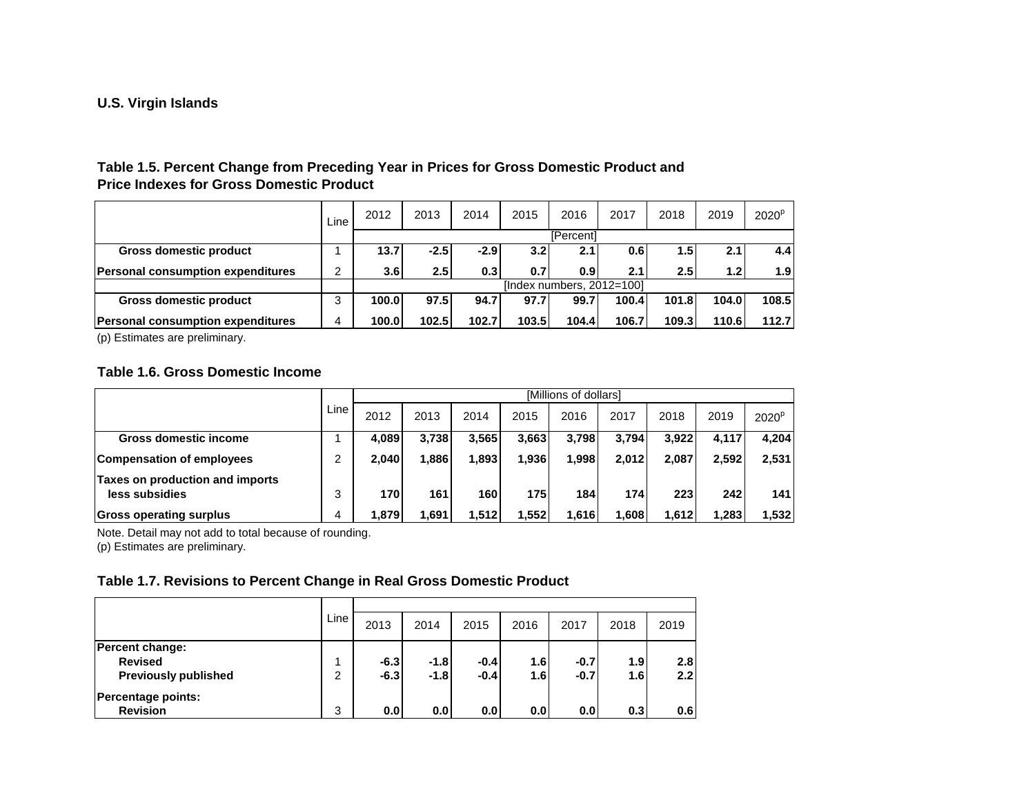#### **Table 1.5. Percent Change from Preceding Year in Prices for Gross Domestic Product and Price Indexes for Gross Domestic Product**

|                                           | Line | 2012             | 2013             | 2014   | 2015             | 2016                         | 2017  | 2018  | 2019             | 2020 <sup>p</sup> |  |  |  |
|-------------------------------------------|------|------------------|------------------|--------|------------------|------------------------------|-------|-------|------------------|-------------------|--|--|--|
|                                           |      |                  | <b>[Percent]</b> |        |                  |                              |       |       |                  |                   |  |  |  |
| <b>Gross domestic product</b>             |      | 13.7             | $-2.5$           | $-2.9$ | 3.2 <sub>1</sub> | 2.1                          | 0.6   | 1.51  | 2.1              | 4.4               |  |  |  |
| <b>Personal consumption expenditures</b>  | 2    | 3.6 <sub>l</sub> | 2.5 <sub>1</sub> | 0.3    | 0.71             | 0.9 <sub>l</sub>             | 2.1   | 2.51  | 1.2 <sub>l</sub> | 1.9               |  |  |  |
|                                           |      |                  |                  |        |                  | [Index numbers, $2012=100$ ] |       |       |                  |                   |  |  |  |
| Gross domestic product                    | 3    | 100.0            | 97.5             | 94.7   | 97.7             | 99.7                         | 100.4 | 101.8 | 104.0            | 108.5             |  |  |  |
| <b>IPersonal consumption expenditures</b> | 4    | <b>100.0</b>     | 102.5            | 102.7  | 103.5            | 104.4                        | 106.7 | 109.3 | 110.6            | 112.7             |  |  |  |

(p) Estimates are preliminary.

### **Table 1.6. Gross Domestic Income**

|                                                   |         | <b>IMillions of dollars1</b> |       |       |       |       |        |       |       |                   |  |  |  |
|---------------------------------------------------|---------|------------------------------|-------|-------|-------|-------|--------|-------|-------|-------------------|--|--|--|
|                                                   | Line    | 2012                         | 2013  | 2014  | 2015  | 2016  | 2017   | 2018  | 2019  | 2020 <sup>p</sup> |  |  |  |
| Gross domestic income                             |         | 4.089                        | 3.738 | 3.565 | 3,663 | 3.798 | 3.794  | 3.922 | 4.117 | 4.204             |  |  |  |
| <b>Compensation of employees</b>                  | ⌒       | 2,040                        | 1,886 | 1.893 | 1,936 | 1,998 | 2,012  | 2,087 | 2,592 | 2,531             |  |  |  |
| Taxes on production and imports<br>less subsidies | ≘<br>د. | 170                          | 161   | 160   | 175   | 184   | 174 l  | 223   | 242   | 141               |  |  |  |
| <b>Gross operating surplus</b>                    | 4       | 1,879                        | 1,691 | 1,512 | 552,⊧ | 1,616 | 608. ا | 1,612 | 1,283 | ا 532, ا          |  |  |  |

Note. Detail may not add to total because of rounding.

(p) Estimates are preliminary.

#### **Table 1.7. Revisions to Percent Change in Real Gross Domestic Product**

|                             | Line | 2013   | 2014   | 2015   | 2016 | 2017   | 2018 | 2019 |  |  |  |
|-----------------------------|------|--------|--------|--------|------|--------|------|------|--|--|--|
| Percent change:             |      |        |        |        |      |        |      |      |  |  |  |
| <b>Revised</b>              |      | $-6.3$ | $-1.8$ | $-0.4$ | 1.6  | $-0.7$ | 1.9  | 2.8  |  |  |  |
| <b>Previously published</b> | っ    | $-6.3$ | $-1.8$ | $-0.4$ | 1.6  | $-0.7$ | 1.6  | 2.2  |  |  |  |
| <b>Percentage points:</b>   |      |        |        |        |      |        |      |      |  |  |  |
| <b>Revision</b>             | 3    | 0.0    | 0.0    | 0.0    | 0.0  | 0.0    | 0.3  | 0.6  |  |  |  |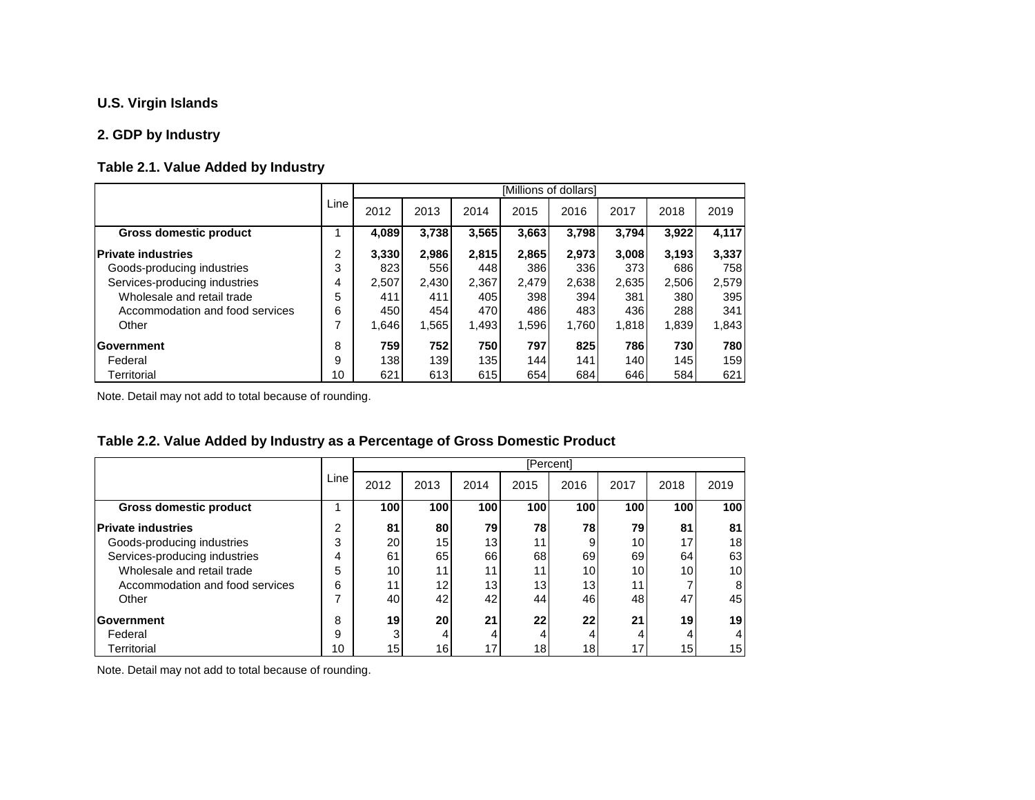### **2. GDP by Industry**

#### **Table 2.1. Value Added by Industry**

|                                 |      |       |       |       |       | [Millions of dollars] |       |       |       |
|---------------------------------|------|-------|-------|-------|-------|-----------------------|-------|-------|-------|
|                                 | Line | 2012  | 2013  | 2014  | 2015  | 2016                  | 2017  | 2018  | 2019  |
| <b>Gross domestic product</b>   |      | 4,089 | 3,738 | 3,565 | 3.663 | 3,798                 | 3,794 | 3,922 | 4,117 |
| <b>Private industries</b>       | 2    | 3,330 | 2,986 | 2.815 | 2,865 | 2.973                 | 3.008 | 3,193 | 3,337 |
| Goods-producing industries      | 3    | 823   | 556   | 448   | 386   | 336                   | 373   | 686   | 758   |
| Services-producing industries   | 4    | 2,507 | 2,430 | 2,367 | 2.479 | 2,638                 | 2,635 | 2,506 | 2,579 |
| Wholesale and retail trade      | 5    | 411   | 411   | 405   | 398   | 394                   | 381   | 380   | 395   |
| Accommodation and food services | 6    | 450   | 454   | 470   | 486   | 483                   | 436   | 288   | 3411  |
| Other                           | 7    | 1.646 | 1,565 | 1,493 | 1,596 | 1,760                 | 1,818 | 1,839 | 1,843 |
| <b>Government</b>               | 8    | 759   | 752   | 750   | 797   | 825                   | 786   | 730   | 780   |
| Federal                         | 9    | 138   | 139   | 135   | 144   | 141                   | 140   | 145   | 159   |
| Territorial                     | 10   | 621   | 613   | 615   | 654   | 684                   | 646   | 584   | 621   |

Note. Detail may not add to total because of rounding.

#### **Table 2.2. Value Added by Industry as a Percentage of Gross Domestic Product**

|                                 |      |                 |                 |      |      | [Percent] |      |      |      |
|---------------------------------|------|-----------------|-----------------|------|------|-----------|------|------|------|
|                                 | Line | 2012            | 2013            | 2014 | 2015 | 2016      | 2017 | 2018 | 2019 |
| Gross domestic product          |      | 100             | 100             | 100  | 100  | 100       | 100  | 100  | 100  |
| <b>Private industries</b>       | າ    | 81              | 80              | 79   | 78   | 781       | 79   | 81   | 81   |
| Goods-producing industries      | 3    | 20              | 15 <sup>1</sup> | 13   | 11.  | 9         | 10   | 17   | 18   |
| Services-producing industries   | 4    | 61              | 65              | 66   | 68   | 69        | 69   | 64   | 63   |
| Wholesale and retail trade      | 5    | 10 <sub>l</sub> | 11 <sub>1</sub> | 11   | 11   | 10        | 10   | 10   | 10   |
| Accommodation and food services | 6    | 11              | 12              | 13   | 13   | 13        | 11   |      | 8    |
| Other                           | ⇁    | 40              | 42              | 42   | 44   | 46        | 48   | 47   | 45   |
| Government                      | 8    | 19              | 20 <sub>l</sub> | 21   | 22   | 22        | 21   | 19   | 19   |
| Federal                         | 9    | 3               | 4               | 4    |      |           |      |      | 4    |
| Territorial                     | 10   | 15              | 16 <sub>l</sub> | 17   | 18   | 18        | 17   | 15   | 15   |

Note. Detail may not add to total because of rounding.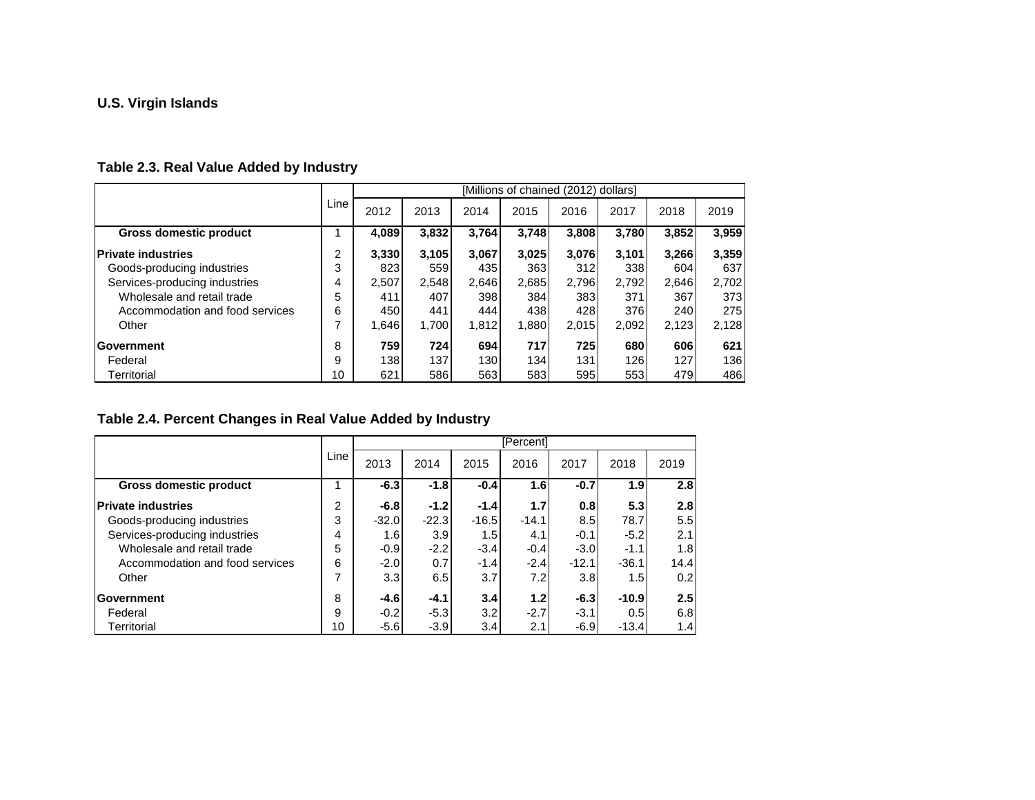### **Table 2.3. Real Value Added by Industry**

|                                 |      |       |            |                  |       | [Millions of chained (2012) dollars] |       |       |       |
|---------------------------------|------|-------|------------|------------------|-------|--------------------------------------|-------|-------|-------|
|                                 | Line | 2012  | 2013       | 2014             | 2015  | 2016                                 | 2017  | 2018  | 2019  |
| <b>Gross domestic product</b>   |      | 4,089 | 3,832      | 3,764            | 3,748 | 3,808                                | 3,780 | 3,852 | 3,959 |
| <b>Private industries</b>       | 2    | 3.330 | 3.105      | 3.067            | 3.025 | 3.076                                | 3.101 | 3.266 | 3,359 |
| Goods-producing industries      | 3    | 823   | 559        | 435              | 363   | 312                                  | 338   | 604   | 637   |
| Services-producing industries   | 4    | 2,507 | 2,548      | 2,646            | 2,685 | 2,796                                | 2.792 | 2,646 | 2,702 |
| Wholesale and retail trade      | 5    | 411   | 407        | 398              | 384   | 383                                  | 371   | 367   | 373   |
| Accommodation and food services | 6    | 450   | 441        | 444              | 438   | 428                                  | 376   | 240   | 275   |
| Other                           | 7    | 1.646 | 1,700      | 1,812            | 1.880 | 2,015                                | 2,092 | 2,123 | 2,128 |
| Government                      | 8    | 759   | <b>724</b> | 694              | 717   | 725                                  | 680   | 606   | 621   |
| Federal                         | 9    | 138   | 137        | 130 <sup>1</sup> | 134   | 131                                  | 126   | 127   | 136   |
| Territorial                     | 10   | 621   | 586        | 563              | 583   | 595                                  | 553   | 479   | 486   |

### **Table 2.4. Percent Changes in Real Value Added by Industry**

|                                 | Line | [Percent] |         |         |         |         |                  |      |  |  |
|---------------------------------|------|-----------|---------|---------|---------|---------|------------------|------|--|--|
|                                 |      | 2013      | 2014    | 2015    | 2016    | 2017    | 2018             | 2019 |  |  |
| <b>Gross domestic product</b>   |      | $-6.3$    | $-1.8$  | $-0.4$  | 1.6     | $-0.7$  | 1.9 <sub>l</sub> | 2.8  |  |  |
| <b>Private industries</b>       | 2    | $-6.8$    | $-1.2$  | $-1.4$  | 1.7     | 0.8     | 5.3              | 2.8  |  |  |
| Goods-producing industries      | 3    | $-32.0$   | $-22.3$ | $-16.5$ | $-14.1$ | 8.5     | 78.7             | 5.5  |  |  |
| Services-producing industries   | 4    | 1.6       | 3.9     | 1.5     | 4.1     | $-0.1$  | $-5.2$           | 2.1  |  |  |
| Wholesale and retail trade      | 5    | $-0.9$    | $-2.2$  | $-3.4$  | $-0.4$  | $-3.0$  | $-1.1$           | 1.8  |  |  |
| Accommodation and food services | 6    | $-2.0$    | 0.7     | $-1.4$  | $-2.4$  | $-12.1$ | $-36.1$          | 14.4 |  |  |
| Other                           | 7    | 3.3       | 6.5     | 3.7     | 7.2I    | 3.8     | 1.5              | 0.2  |  |  |
| Government                      | 8    | $-4.6$    | $-4.1$  | 3.4     | 1.2     | $-6.3$  | $-10.9$          | 2.5  |  |  |
| Federal                         | 9    | $-0.2$    | $-5.3$  | 3.2     | $-2.7$  | $-3.1$  | 0.5              | 6.8  |  |  |
| Territorial                     | 10   | $-5.6$    | $-3.9$  | 3.4     | 2.1     | $-6.9$  | $-13.4$          | 1.4  |  |  |